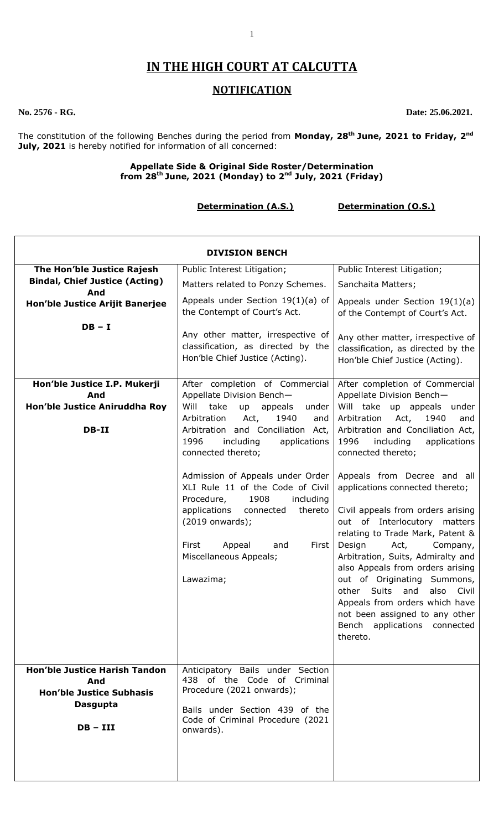# **IN THE HIGH COURT AT CALCUTTA**

# **NOTIFICATION**

**No. 2576 - RG. Date: 25.06.2021.**

 $\overline{\phantom{0}}$ 

The constitution of the following Benches during the period from **Monday, 28th June, 2021 to Friday, 2 nd July, 2021** is hereby notified for information of all concerned:

### **Appellate Side & Original Side Roster/Determination from 28th June, 2021 (Monday) to 2 nd July, 2021 (Friday)**

**Determination (A.S.) Determination (O.S.)**

| <b>DIVISION BENCH</b>                                                                                           |                                                                                                                                                                                 |                                                                                                                                                                                                                                                                                                                                                               |
|-----------------------------------------------------------------------------------------------------------------|---------------------------------------------------------------------------------------------------------------------------------------------------------------------------------|---------------------------------------------------------------------------------------------------------------------------------------------------------------------------------------------------------------------------------------------------------------------------------------------------------------------------------------------------------------|
| The Hon'ble Justice Rajesh<br><b>Bindal, Chief Justice (Acting)</b><br>And                                      | Public Interest Litigation;<br>Matters related to Ponzy Schemes.<br>Appeals under Section $19(1)(a)$ of                                                                         | Public Interest Litigation;<br>Sanchaita Matters;                                                                                                                                                                                                                                                                                                             |
| Hon'ble Justice Arijit Banerjee<br>$DB - I$                                                                     | the Contempt of Court's Act.<br>Any other matter, irrespective of                                                                                                               | Appeals under Section $19(1)(a)$<br>of the Contempt of Court's Act.<br>Any other matter, irrespective of                                                                                                                                                                                                                                                      |
|                                                                                                                 | classification, as directed by the<br>Hon'ble Chief Justice (Acting).                                                                                                           | classification, as directed by the<br>Hon'ble Chief Justice (Acting).                                                                                                                                                                                                                                                                                         |
| Hon'ble Justice I.P. Mukerji<br>And                                                                             | After completion of Commercial<br>Appellate Division Bench-                                                                                                                     | After completion of Commercial<br>Appellate Division Bench-                                                                                                                                                                                                                                                                                                   |
| Hon'ble Justice Aniruddha Roy                                                                                   | Will<br>take<br>up<br>appeals<br>under                                                                                                                                          | Will take up appeals under                                                                                                                                                                                                                                                                                                                                    |
| DB-II                                                                                                           | 1940<br>Arbitration<br>Act,<br>and<br>Arbitration and Conciliation Act,<br>1996<br>including<br>applications<br>connected thereto;                                              | 1940<br>Arbitration<br>Act,<br>and<br>Arbitration and Conciliation Act,<br>1996<br>including<br>applications<br>connected thereto;                                                                                                                                                                                                                            |
|                                                                                                                 | Admission of Appeals under Order<br>XLI Rule 11 of the Code of Civil<br>1908<br>Procedure,<br>including<br>applications<br>thereto<br>connected                                 | Appeals from Decree and all<br>applications connected thereto;<br>Civil appeals from orders arising                                                                                                                                                                                                                                                           |
|                                                                                                                 | (2019 onwards);<br>First<br>Appeal<br>First<br>and<br>Miscellaneous Appeals;<br>Lawazima;                                                                                       | out of Interlocutory matters<br>relating to Trade Mark, Patent &<br>Design<br>Act,<br>Company,<br>Arbitration, Suits, Admiralty and<br>also Appeals from orders arising<br>out of Originating Summons,<br>other Suits<br>also<br>Civil<br>and<br>Appeals from orders which have<br>not been assigned to any other<br>Bench applications connected<br>thereto. |
| <b>Hon'ble Justice Harish Tandon</b><br>And<br><b>Hon'ble Justice Subhasis</b><br><b>Dasgupta</b><br>$DB - III$ | Anticipatory Bails under Section<br>438 of the Code of Criminal<br>Procedure (2021 onwards);<br>Bails under Section 439 of the<br>Code of Criminal Procedure (2021<br>onwards). |                                                                                                                                                                                                                                                                                                                                                               |
|                                                                                                                 |                                                                                                                                                                                 |                                                                                                                                                                                                                                                                                                                                                               |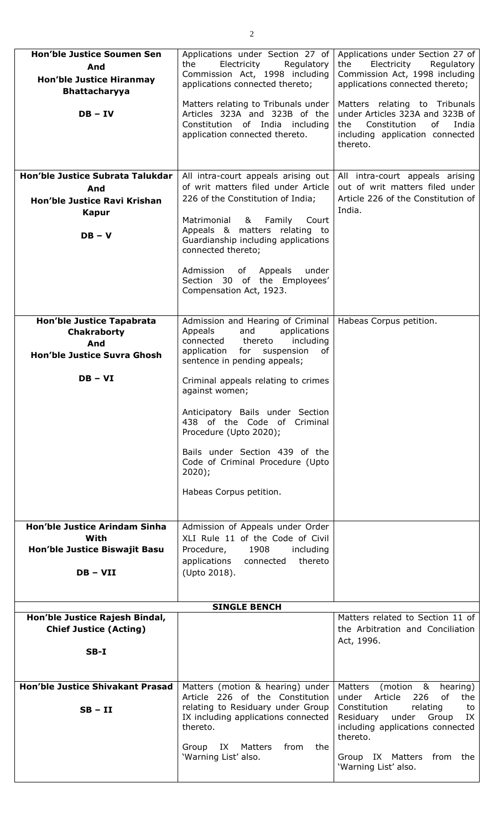| <b>Hon'ble Justice Soumen Sen</b><br>And<br><b>Hon'ble Justice Hiranmay</b><br><b>Bhattacharyya</b> | Applications under Section 27 of<br>Electricity<br>the<br>Regulatory<br>Commission Act, 1998 including<br>applications connected thereto;                                       | Applications under Section 27 of<br>Electricity<br>the<br>Regulatory<br>Commission Act, 1998 including<br>applications connected thereto;             |
|-----------------------------------------------------------------------------------------------------|---------------------------------------------------------------------------------------------------------------------------------------------------------------------------------|-------------------------------------------------------------------------------------------------------------------------------------------------------|
| $DB - IV$                                                                                           | Matters relating to Tribunals under<br>Articles 323A and 323B of the<br>Constitution of India including<br>application connected thereto.                                       | Matters relating to Tribunals<br>under Articles 323A and 323B of<br>Constitution<br>of<br>India<br>the<br>including application connected<br>thereto. |
| Hon'ble Justice Subrata Talukdar                                                                    | All intra-court appeals arising out                                                                                                                                             | All intra-court appeals arising                                                                                                                       |
| And                                                                                                 | of writ matters filed under Article                                                                                                                                             | out of writ matters filed under                                                                                                                       |
|                                                                                                     | 226 of the Constitution of India;                                                                                                                                               | Article 226 of the Constitution of                                                                                                                    |
| Hon'ble Justice Ravi Krishan                                                                        |                                                                                                                                                                                 | India.                                                                                                                                                |
| <b>Kapur</b>                                                                                        | Matrimonial & Family<br>Court                                                                                                                                                   |                                                                                                                                                       |
| $DB - V$                                                                                            | Appeals & matters relating to<br>Guardianship including applications<br>connected thereto;                                                                                      |                                                                                                                                                       |
|                                                                                                     | Admission of Appeals<br>under<br>Section 30 of the Employees'<br>Compensation Act, 1923.                                                                                        |                                                                                                                                                       |
|                                                                                                     |                                                                                                                                                                                 |                                                                                                                                                       |
| <b>Hon'ble Justice Tapabrata</b><br><b>Chakraborty</b><br>And<br>Hon'ble Justice Suvra Ghosh        | Admission and Hearing of Criminal<br>Appeals<br>and<br>applications<br>connected<br>thereto<br>including<br>suspension<br>application for<br>of<br>sentence in pending appeals; | Habeas Corpus petition.                                                                                                                               |
| $DB - VI$                                                                                           | Criminal appeals relating to crimes                                                                                                                                             |                                                                                                                                                       |
|                                                                                                     | against women;                                                                                                                                                                  |                                                                                                                                                       |
|                                                                                                     | Anticipatory Bails under Section<br>438 of the Code of Criminal<br>Procedure (Upto 2020);                                                                                       |                                                                                                                                                       |
|                                                                                                     | Bails under Section 439 of the<br>Code of Criminal Procedure (Upto<br>$2020$ );                                                                                                 |                                                                                                                                                       |
|                                                                                                     | Habeas Corpus petition.                                                                                                                                                         |                                                                                                                                                       |
| <b>Hon'ble Justice Arindam Sinha</b>                                                                | Admission of Appeals under Order                                                                                                                                                |                                                                                                                                                       |
| With                                                                                                | XLI Rule 11 of the Code of Civil                                                                                                                                                |                                                                                                                                                       |
| Hon'ble Justice Biswajit Basu                                                                       | 1908<br>Procedure,<br>including                                                                                                                                                 |                                                                                                                                                       |
|                                                                                                     | applications connected thereto                                                                                                                                                  |                                                                                                                                                       |
| $DB - VII$                                                                                          | (Upto 2018).                                                                                                                                                                    |                                                                                                                                                       |
|                                                                                                     |                                                                                                                                                                                 |                                                                                                                                                       |
|                                                                                                     |                                                                                                                                                                                 |                                                                                                                                                       |
|                                                                                                     | <b>SINGLE BENCH</b>                                                                                                                                                             |                                                                                                                                                       |
| Hon'ble Justice Rajesh Bindal,<br><b>Chief Justice (Acting)</b>                                     |                                                                                                                                                                                 | Matters related to Section 11 of<br>the Arbitration and Conciliation<br>Act, 1996.                                                                    |
| $SB-I$                                                                                              |                                                                                                                                                                                 |                                                                                                                                                       |
|                                                                                                     |                                                                                                                                                                                 |                                                                                                                                                       |
|                                                                                                     |                                                                                                                                                                                 |                                                                                                                                                       |
| <b>Hon'ble Justice Shivakant Prasad</b>                                                             | Matters (motion & hearing) under                                                                                                                                                | Matters<br>(motion &<br>hearing)                                                                                                                      |
|                                                                                                     | Article 226 of the Constitution                                                                                                                                                 | under Article<br>226<br>of<br>the                                                                                                                     |
| $SB - II$                                                                                           | relating to Residuary under Group                                                                                                                                               | Constitution<br>relating<br>to                                                                                                                        |
|                                                                                                     | IX including applications connected<br>thereto.                                                                                                                                 | Residuary<br>under Group<br>IX<br>including applications connected                                                                                    |
|                                                                                                     |                                                                                                                                                                                 | thereto.                                                                                                                                              |
|                                                                                                     | Group IX Matters<br>from<br>the<br>'Warning List' also.                                                                                                                         | Group IX Matters from the                                                                                                                             |
|                                                                                                     |                                                                                                                                                                                 | 'Warning List' also.                                                                                                                                  |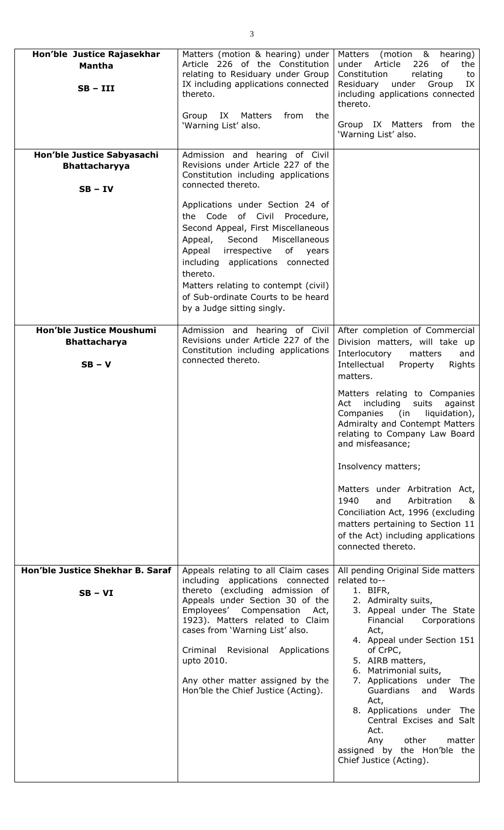| Hon'ble Justice Rajasekhar<br><b>Mantha</b><br>$SB - III$       | Matters (motion & hearing) under<br>Article 226 of the Constitution<br>relating to Residuary under Group<br>IX including applications connected<br>thereto.<br>Group<br>IX<br>Matters<br>from<br>the<br>'Warning List' also.                                                                                                                                                                                                                                                     | (motion & hearing)<br>Matters<br>under<br>Article<br>226<br>of<br>the<br>relating<br>Constitution<br>to<br>Residuary<br>under<br>Group<br>IX<br>including applications connected<br>thereto.<br>Group IX Matters from the<br>'Warning List' also.                                                                                                                                                                                                                                                                                                                               |
|-----------------------------------------------------------------|----------------------------------------------------------------------------------------------------------------------------------------------------------------------------------------------------------------------------------------------------------------------------------------------------------------------------------------------------------------------------------------------------------------------------------------------------------------------------------|---------------------------------------------------------------------------------------------------------------------------------------------------------------------------------------------------------------------------------------------------------------------------------------------------------------------------------------------------------------------------------------------------------------------------------------------------------------------------------------------------------------------------------------------------------------------------------|
| Hon'ble Justice Sabyasachi<br><b>Bhattacharyya</b><br>$SB - IV$ | Admission and hearing of Civil<br>Revisions under Article 227 of the<br>Constitution including applications<br>connected thereto.<br>Applications under Section 24 of<br>the Code of Civil Procedure,<br>Second Appeal, First Miscellaneous<br>Miscellaneous<br>Appeal, Second<br>of years<br>irrespective<br>Appeal<br>including applications connected<br>thereto.<br>Matters relating to contempt (civil)<br>of Sub-ordinate Courts to be heard<br>by a Judge sitting singly. |                                                                                                                                                                                                                                                                                                                                                                                                                                                                                                                                                                                 |
| Hon'ble Justice Moushumi<br><b>Bhattacharya</b><br>$SB - V$     | Admission and hearing of Civil<br>Revisions under Article 227 of the<br>Constitution including applications<br>connected thereto.                                                                                                                                                                                                                                                                                                                                                | After completion of Commercial<br>Division matters, will take up<br>Interlocutory<br>matters<br>and<br>Intellectual<br>Rights<br>Property<br>matters.<br>Matters relating to Companies<br>Act including suits<br>against<br>Companies (in liquidation),<br>Admiralty and Contempt Matters<br>relating to Company Law Board<br>and misfeasance;<br>Insolvency matters;<br>Matters under Arbitration Act,<br>1940<br>Arbitration<br>and<br>&<br>Conciliation Act, 1996 (excluding<br>matters pertaining to Section 11<br>of the Act) including applications<br>connected thereto. |
| Hon'ble Justice Shekhar B. Saraf<br>$SB - VI$                   | Appeals relating to all Claim cases<br>including applications connected<br>thereto (excluding admission of<br>Appeals under Section 30 of the<br>Employees' Compensation Act,<br>1923). Matters related to Claim<br>cases from 'Warning List' also.<br>Criminal<br>Revisional Applications<br>upto 2010.<br>Any other matter assigned by the<br>Hon'ble the Chief Justice (Acting).                                                                                              | All pending Original Side matters<br>related to--<br>1. BIFR,<br>2. Admiralty suits,<br>3. Appeal under The State<br>Corporations<br>Financial<br>Act,<br>4. Appeal under Section 151<br>of CrPC,<br>5. AIRB matters,<br>6. Matrimonial suits,<br>7. Applications under The<br>Guardians<br>Wards<br>and<br>Act,<br>8. Applications under<br>The<br>Central Excises and Salt<br>Act.<br>other<br>Any<br>matter<br>assigned by the Hon'ble the<br>Chief Justice (Acting).                                                                                                        |

3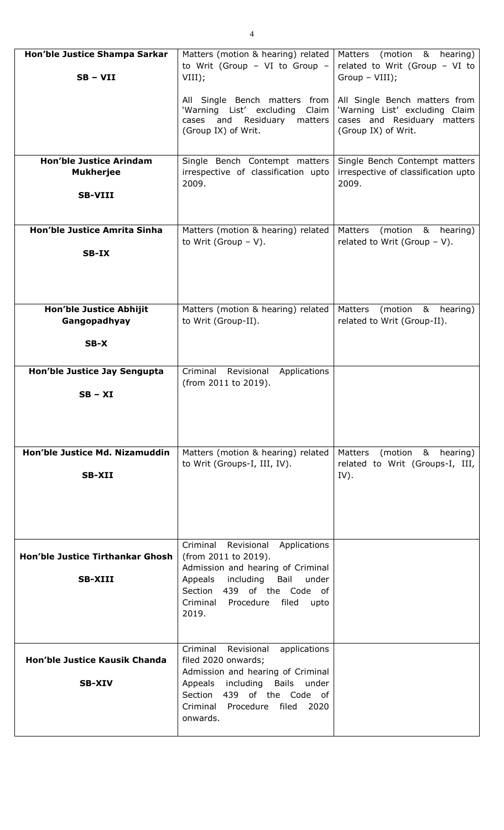| Hon'ble Justice Shampa Sarkar<br>$SB - VII$                          | Matters (motion & hearing) related<br>to Writ (Group - VI to Group -<br>VIII);                                                                                                                                                       | (motion & hearing)<br>Matters<br>related to Writ (Group - VI to<br>Group - VIII);                                     |
|----------------------------------------------------------------------|--------------------------------------------------------------------------------------------------------------------------------------------------------------------------------------------------------------------------------------|-----------------------------------------------------------------------------------------------------------------------|
|                                                                      | All Single Bench matters from<br>'Warning List' excluding<br>Claim<br>and<br>Residuary<br>matters<br>cases<br>(Group IX) of Writ.                                                                                                    | All Single Bench matters from<br>'Warning List' excluding Claim<br>cases and Residuary matters<br>(Group IX) of Writ. |
| <b>Hon'ble Justice Arindam</b><br><b>Mukherjee</b><br><b>SB-VIII</b> | Single Bench Contempt matters<br>irrespective of classification upto<br>2009.                                                                                                                                                        | Single Bench Contempt matters<br>irrespective of classification upto<br>2009.                                         |
| Hon'ble Justice Amrita Sinha<br>SB-IX                                | Matters (motion & hearing) related<br>to Writ (Group $-$ V).                                                                                                                                                                         | Matters<br>(motion & hearing)<br>related to Writ (Group $-$ V).                                                       |
| <b>Hon'ble Justice Abhijit</b><br>Gangopadhyay<br>$SB-X$             | Matters (motion & hearing) related<br>to Writ (Group-II).                                                                                                                                                                            | Matters<br>(motion & hearing)<br>related to Writ (Group-II).                                                          |
| Hon'ble Justice Jay Sengupta<br>$SB - XI$                            | Criminal Revisional<br>Applications<br>(from 2011 to 2019).                                                                                                                                                                          |                                                                                                                       |
| Hon'ble Justice Md. Nizamuddin<br><b>SB-XII</b>                      | Matters (motion & hearing) related<br>to Writ (Groups-I, III, IV).                                                                                                                                                                   | (motion & hearing)<br>Matters<br>related to Writ (Groups-I, III,<br>IV).                                              |
| Hon'ble Justice Tirthankar Ghosh<br><b>SB-XIII</b>                   | Criminal<br>Revisional<br>Applications<br>(from 2011 to 2019).<br>Admission and hearing of Criminal<br>Appeals<br>including<br>Bail<br>under<br>Section 439 of the Code of<br>Criminal Procedure<br>filed<br>upto<br>2019.           |                                                                                                                       |
| <b>Hon'ble Justice Kausik Chanda</b><br><b>SB-XIV</b>                | Criminal<br>Revisional<br>applications<br>filed 2020 onwards;<br>Admission and hearing of Criminal<br>Appeals<br>including<br><b>Bails</b><br>under<br>Section<br>439 of the Code of<br>Criminal Procedure filed<br>2020<br>onwards. |                                                                                                                       |